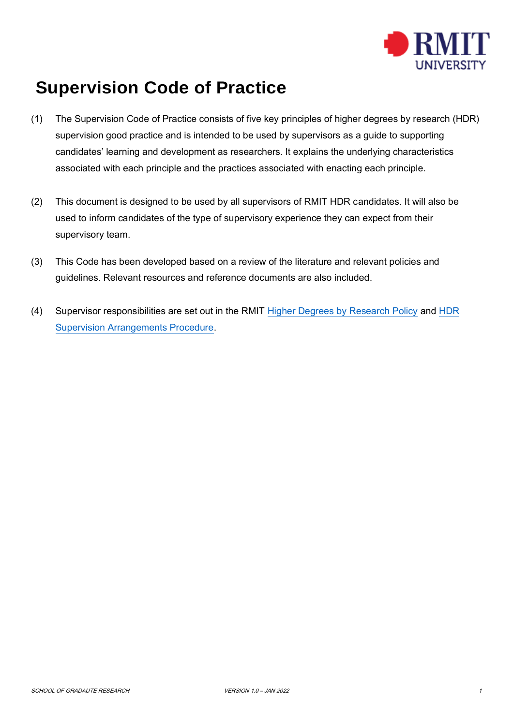

## **Supervision Code of Practice**

- (1) The Supervision Code of Practice consists of five key principles of higher degrees by research (HDR) supervision good practice and is intended to be used by supervisors as a guide to supporting candidates' learning and development as researchers. It explains the underlying characteristics associated with each principle and the practices associated with enacting each principle.
- (2) This document is designed to be used by all supervisors of RMIT HDR candidates. It will also be used to inform candidates of the type of supervisory experience they can expect from their supervisory team.
- (3) This Code has been developed based on a review of the literature and relevant policies and guidelines. Relevant resources and reference documents are also included.
- (4) Supervisor responsibilities are set out in the RMIT [Higher Degrees by Research Policy](https://policies.rmit.edu.au/document/view.php?id=12) and [HDR](https://policies.rmit.edu.au/document/view.php?id=14)  [Supervision Arrangements Procedure.](https://policies.rmit.edu.au/document/view.php?id=14)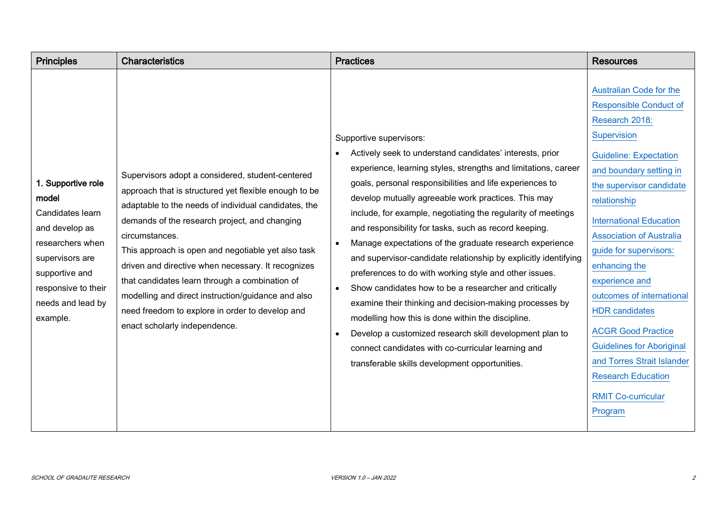| <b>Principles</b>                                                                                                                                                                  | <b>Characteristics</b>                                                                                                                                                                                                                                                                                                                                                                                                                                                                                                                       | <b>Practices</b>                                                                                                                                                                                                                                                                                                                                                                                                                                                                                                                                                                                                                                                                                                                                                                                                                                                                                                                                                                          | <b>Resources</b>                                                                                                                                                                                                                                                                                                                                                                                                                                                                                                                                                     |
|------------------------------------------------------------------------------------------------------------------------------------------------------------------------------------|----------------------------------------------------------------------------------------------------------------------------------------------------------------------------------------------------------------------------------------------------------------------------------------------------------------------------------------------------------------------------------------------------------------------------------------------------------------------------------------------------------------------------------------------|-------------------------------------------------------------------------------------------------------------------------------------------------------------------------------------------------------------------------------------------------------------------------------------------------------------------------------------------------------------------------------------------------------------------------------------------------------------------------------------------------------------------------------------------------------------------------------------------------------------------------------------------------------------------------------------------------------------------------------------------------------------------------------------------------------------------------------------------------------------------------------------------------------------------------------------------------------------------------------------------|----------------------------------------------------------------------------------------------------------------------------------------------------------------------------------------------------------------------------------------------------------------------------------------------------------------------------------------------------------------------------------------------------------------------------------------------------------------------------------------------------------------------------------------------------------------------|
| 1. Supportive role<br>model<br>Candidates learn<br>and develop as<br>researchers when<br>supervisors are<br>supportive and<br>responsive to their<br>needs and lead by<br>example. | Supervisors adopt a considered, student-centered<br>approach that is structured yet flexible enough to be<br>adaptable to the needs of individual candidates, the<br>demands of the research project, and changing<br>circumstances.<br>This approach is open and negotiable yet also task<br>driven and directive when necessary. It recognizes<br>that candidates learn through a combination of<br>modelling and direct instruction/guidance and also<br>need freedom to explore in order to develop and<br>enact scholarly independence. | Supportive supervisors:<br>Actively seek to understand candidates' interests, prior<br>$\bullet$<br>experience, learning styles, strengths and limitations, career<br>goals, personal responsibilities and life experiences to<br>develop mutually agreeable work practices. This may<br>include, for example, negotiating the regularity of meetings<br>and responsibility for tasks, such as record keeping.<br>Manage expectations of the graduate research experience<br>$\bullet$<br>and supervisor-candidate relationship by explicitly identifying<br>preferences to do with working style and other issues.<br>Show candidates how to be a researcher and critically<br>$\bullet$<br>examine their thinking and decision-making processes by<br>modelling how this is done within the discipline.<br>Develop a customized research skill development plan to<br>$\bullet$<br>connect candidates with co-curricular learning and<br>transferable skills development opportunities. | <b>Australian Code for the</b><br><b>Responsible Conduct of</b><br>Research 2018:<br>Supervision<br><b>Guideline: Expectation</b><br>and boundary setting in<br>the supervisor candidate<br>relationship<br><b>International Education</b><br><b>Association of Australia</b><br>guide for supervisors:<br>enhancing the<br>experience and<br>outcomes of international<br><b>HDR</b> candidates<br><b>ACGR Good Practice</b><br><b>Guidelines for Aboriginal</b><br>and Torres Strait Islander<br><b>Research Education</b><br><b>RMIT Co-curricular</b><br>Program |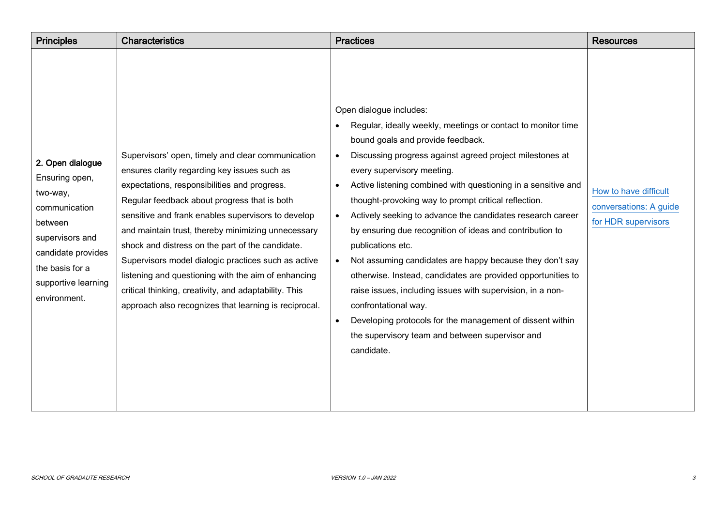| <b>Principles</b>                                                                                                                                                             | <b>Characteristics</b>                                                                                                                                                                                                                                                                                                                                                                                                                                                                                                                                                                            | <b>Practices</b>                                                                                                                                                                                                                                                                                                                                                                                                                                                                                                                                                                                                                                                                                                                                                                                                                                                                                                             | <b>Resources</b>                                                       |
|-------------------------------------------------------------------------------------------------------------------------------------------------------------------------------|---------------------------------------------------------------------------------------------------------------------------------------------------------------------------------------------------------------------------------------------------------------------------------------------------------------------------------------------------------------------------------------------------------------------------------------------------------------------------------------------------------------------------------------------------------------------------------------------------|------------------------------------------------------------------------------------------------------------------------------------------------------------------------------------------------------------------------------------------------------------------------------------------------------------------------------------------------------------------------------------------------------------------------------------------------------------------------------------------------------------------------------------------------------------------------------------------------------------------------------------------------------------------------------------------------------------------------------------------------------------------------------------------------------------------------------------------------------------------------------------------------------------------------------|------------------------------------------------------------------------|
| 2. Open dialogue<br>Ensuring open,<br>two-way,<br>communication<br>between<br>supervisors and<br>candidate provides<br>the basis for a<br>supportive learning<br>environment. | Supervisors' open, timely and clear communication<br>ensures clarity regarding key issues such as<br>expectations, responsibilities and progress.<br>Regular feedback about progress that is both<br>sensitive and frank enables supervisors to develop<br>and maintain trust, thereby minimizing unnecessary<br>shock and distress on the part of the candidate.<br>Supervisors model dialogic practices such as active<br>listening and questioning with the aim of enhancing<br>critical thinking, creativity, and adaptability. This<br>approach also recognizes that learning is reciprocal. | Open dialogue includes:<br>Regular, ideally weekly, meetings or contact to monitor time<br>$\bullet$<br>bound goals and provide feedback.<br>Discussing progress against agreed project milestones at<br>$\bullet$<br>every supervisory meeting.<br>Active listening combined with questioning in a sensitive and<br>$\bullet$<br>thought-provoking way to prompt critical reflection.<br>Actively seeking to advance the candidates research career<br>$\bullet$<br>by ensuring due recognition of ideas and contribution to<br>publications etc.<br>Not assuming candidates are happy because they don't say<br>$\bullet$<br>otherwise. Instead, candidates are provided opportunities to<br>raise issues, including issues with supervision, in a non-<br>confrontational way.<br>Developing protocols for the management of dissent within<br>$\bullet$<br>the supervisory team and between supervisor and<br>candidate. | How to have difficult<br>conversations: A guide<br>for HDR supervisors |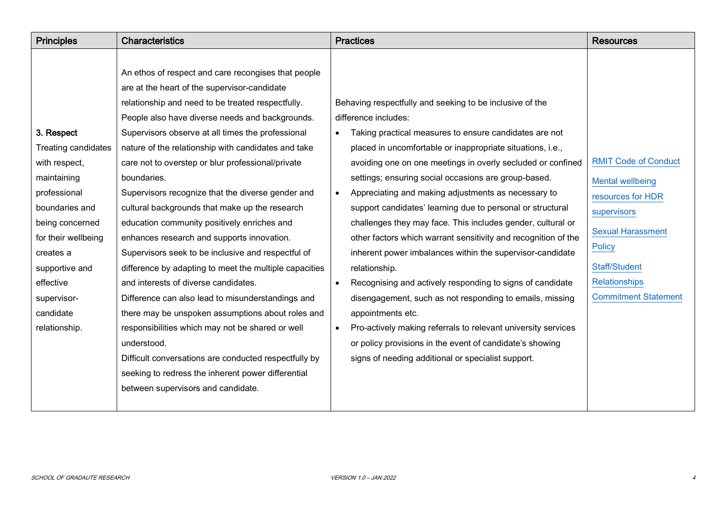| <b>Principles</b>   | <b>Characteristics</b>                                 | <b>Practices</b>                                                           | <b>Resources</b>            |
|---------------------|--------------------------------------------------------|----------------------------------------------------------------------------|-----------------------------|
|                     |                                                        |                                                                            |                             |
|                     | An ethos of respect and care recongises that people    |                                                                            |                             |
|                     | are at the heart of the supervisor-candidate           |                                                                            |                             |
|                     | relationship and need to be treated respectfully.      | Behaving respectfully and seeking to be inclusive of the                   |                             |
|                     | People also have diverse needs and backgrounds.        | difference includes:                                                       |                             |
| 3. Respect          | Supervisors observe at all times the professional      | Taking practical measures to ensure candidates are not                     |                             |
| Treating candidates | nature of the relationship with candidates and take    | placed in uncomfortable or inappropriate situations, i.e.,                 |                             |
| with respect,       | care not to overstep or blur professional/private      | avoiding one on one meetings in overly secluded or confined                | <b>RMIT Code of Conduct</b> |
| maintaining         | boundaries.                                            | settings; ensuring social occasions are group-based.                       | <b>Mental wellbeing</b>     |
| professional        | Supervisors recognize that the diverse gender and      | Appreciating and making adjustments as necessary to<br>$\bullet$           | resources for HDR           |
| boundaries and      | cultural backgrounds that make up the research         | support candidates' learning due to personal or structural                 | supervisors                 |
| being concerned     | education community positively enriches and            | challenges they may face. This includes gender, cultural or                |                             |
| for their wellbeing | enhances research and supports innovation.             | other factors which warrant sensitivity and recognition of the             | <b>Sexual Harassment</b>    |
| creates a           | Supervisors seek to be inclusive and respectful of     | inherent power imbalances within the supervisor-candidate                  | <b>Policy</b>               |
| supportive and      | difference by adapting to meet the multiple capacities | relationship.                                                              | Staff/Student               |
| effective           | and interests of diverse candidates.                   | Recognising and actively responding to signs of candidate<br>$\bullet$     | <b>Relationships</b>        |
| supervisor-         | Difference can also lead to misunderstandings and      | disengagement, such as not responding to emails, missing                   | <b>Commitment Statement</b> |
| candidate           | there may be unspoken assumptions about roles and      | appointments etc.                                                          |                             |
| relationship.       | responsibilities which may not be shared or well       | Pro-actively making referrals to relevant university services<br>$\bullet$ |                             |
|                     | understood.                                            | or policy provisions in the event of candidate's showing                   |                             |
|                     | Difficult conversations are conducted respectfully by  | signs of needing additional or specialist support.                         |                             |
|                     | seeking to redress the inherent power differential     |                                                                            |                             |
|                     | between supervisors and candidate.                     |                                                                            |                             |
|                     |                                                        |                                                                            |                             |